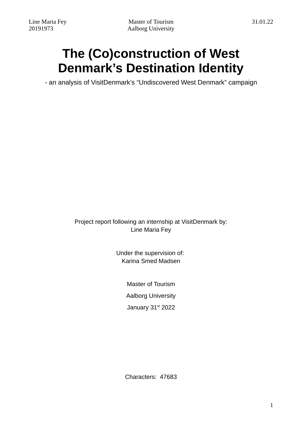# **The (Co)construction of West Denmark's Destination Identity**

- an analysis of VisitDenmark's "Undiscovered West Denmark" campaign

Project report following an internship at VisitDenmark by: Line Maria Fey

> Under the supervision of: Karina Smed Madsen

> > Master of Tourism Aalborg University January 31st 2022

Characters: 47683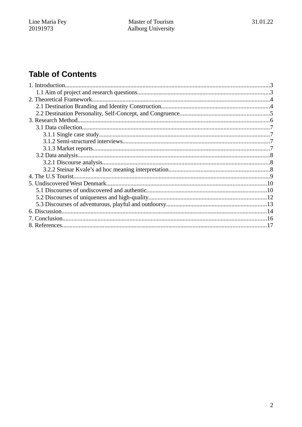## **Table of Contents**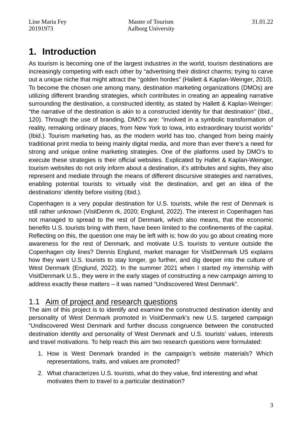## **1. Introduction**

As tourism is becoming one of the largest industries in the world, tourism destinations are increasingly competing with each other by "advertising their distinct charms; trying to carve out a unique niche that might attract the ''golden hordes" (Hallett & Kaplan-Weinger, 2010). To become the chosen one among many, destination marketing organizations (DMOs) are utilizing different branding strategies, which contributes in creating an appealing narrative surrounding the destination, a constructed identity, as stated by Hallett & Kaplan-Weinger: "the narrative of the destination is akin to a constructed identity for that destination" (Ibid., 120). Through the use of branding, DMO's are: "involved in a symbolic transformation of reality, remaking ordinary places, from New York to Iowa, into extraordinary tourist worlds" (Ibid.). Tourism marketing has, as the modern world has too, changed from being mainly traditional print media to being mainly digital media, and more than ever there's a need for strong and unique online marketing strategies. One of the platforms used by DMO's to execute these strategies is their official websites. Explicated by Hallet & Kaplan-Weinger, tourism websites do not only inform about a destination, it's attributes and sights, they also represent and mediate through the means of different discursive strategies and narratives, enabling potential tourists to virtually visit the destination, and get an idea of the destinations' identity before visiting (Ibid.).

Copenhagen is a very popular destination for U.S. tourists, while the rest of Denmark is still rather unknown (VisitDenm rk, 2020; Englund, 2022). The interest in Copenhagen has not managed to spread to the rest of Denmark, which also means, that the economic benefits U.S. tourists bring with them, have been limited to the confinements of the capital. Reflecting on this, the question one may be left with is; how do you go about creating more awareness for the rest of Denmark, and motivate U.S. tourists to venture outside the Copenhagen city lines? Dennis Englund, market manager for VisitDenmark US explains how they want U.S. tourists to stay longer, go further, and dig deeper into the culture of West Denmark (Englund, 2022). In the summer 2021 when I started my internship with VisitDenmark U.S., they were in the early stages of constructing a new campaign aiming to address exactly these matters – it was named "Undiscovered West Denmark".

### 1.1 Aim of project and research questions

The aim of this project is to identify and examine the constructed destination identity and personality of West Denmark promoted in VisitDenmark's new U.S. targeted campaign "Undiscovered West Denmark and further discuss congruence between the constructed destination identity and personality of West Denmark and U.S. tourists' values, interests and travel motivations. To help reach this aim two research questions were formulated:

- 1. How is West Denmark branded in the campaign's website materials? Which representations, traits, and values are promoted?
- 2. What characterizes U.S. tourists, what do they value, find interesting and what motivates them to travel to a particular destination?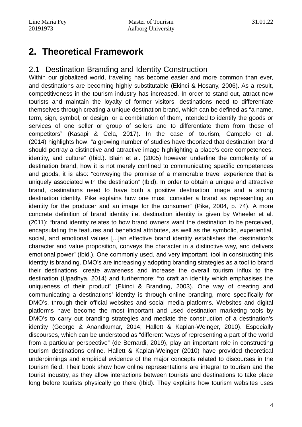## **2. Theoretical Framework**

### 2.1 Destination Branding and Identity Construction

Within our globalized world, traveling has become easier and more common than ever, and destinations are becoming highly substitutable (Ekinci & Hosany, 2006). As a result, competitiveness in the tourism industry has increased. In order to stand out, attract new tourists and maintain the loyalty of former visitors, destinations need to differentiate themselves through creating a unique destination brand, which can be defined as "a name, term, sign, symbol, or design, or a combination of them, intended to identify the goods or services of one seller or group of sellers and to differentiate them from those of competitors" (Kasapi & Cela, 2017). In the case of tourism, Campelo et al. (2014) highlights how: "a growing number of studies have theorized that destination brand should portray a distinctive and attractive image highlighting a place's core competences, identity, and culture" (Ibid.). Blain et al. (2005) however underline the complexity of a destination brand, how it is not merely confined to communicating specific competences and goods, it is also: "conveying the promise of a memorable travel experience that is uniquely associated with the destination" (Ibid). In order to obtain a unique and attractive brand, destinations need to have both a positive destination image and a strong destination identity. Pike explains how one must "consider a brand as representing an identity for the producer and an image for the consumer" (Pike, 2004, p. 74). A more concrete definition of brand identity i.e. destination identity is given by Wheeler et al. (2011): "brand identity relates to how brand owners want the destination to be perceived, encapsulating the features and beneficial attributes, as well as the symbolic, experiential, social, and emotional values [...]an effective brand identity establishes the destination's character and value proposition, conveys the character in a distinctive way, and delivers emotional power" (Ibid.). One commonly used, and very important, tool in constructing this identity is branding. DMO's are increasingly adopting branding strategies as a tool to brand their destinations, create awareness and increase the overall tourism influx to the destination (Upadhya, 2014) and furthermore: "to craft an identity which emphasises the uniqueness of their product" (Ekinci & Branding, 2003). One way of creating and communicating a destinations' identity is through online branding, more specifically for DMO's, through their official websites and social media platforms. Websites and digital platforms have become the most important and used destination marketing tools by DMO's to carry out branding strategies and mediate the construction of a destination's identity (George & Anandkumar, 2014; Hallett & Kaplan-Weinger, 2010). Especially discourses, which can be understood as "different 'ways of representing a part of the world from a particular perspective" (de Bernardi, 2019), play an important role in constructing tourism destinations online. Hallett & Kaplan-Weinger (2010) have provided theoretical underpinnings and empirical evidence of the major concepts related to discourses in the tourism field. Their book show how online representations are integral to tourism and the tourist industry, as they allow interactions between tourists and destinations to take place long before tourists physically go there (Ibid). They explains how tourism websites uses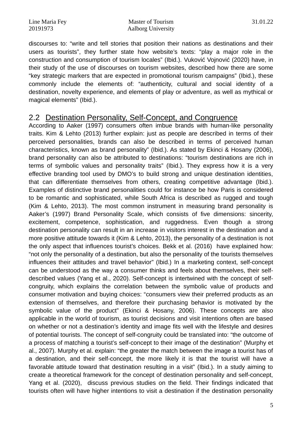Line Maria Fey Master of Tourism 31.01.22 20191973 Aalborg University

discourses to: "write and tell stories that position their nations as destinations and their users as tourists", they further state how website's texts: "play a major role in the construction and consumption of tourism locales" (Ibid.). Vuković Vojnović (2020) have, in their study of the use of discourses on tourism websites, described how there are some "key strategic markers that are expected in promotional tourism campaigns" (Ibid.), these commonly include the elements of: "authenticity, cultural and social identity of a destination, novelty experience, and elements of play or adventure, as well as mythical or magical elements" (Ibid.).

### 2.2 Destination Personality, Self-Concept, and Congruence

According to Aaker (1997) consumers often imbue brands with human-like personality traits. Kim & Lehto (2013) further explain: just as people are described in terms of their perceived personalities, brands can also be described in terms of perceived human characteristics, known as brand personality" (Ibid.). As stated by Ekinci & Hosany (2006), brand personality can also be attributed to destinations: "tourism destinations are rich in terms of symbolic values and personality traits" (Ibid.). They express how it is a very effective branding tool used by DMO's to build strong and unique destination identities, that can differentiate themselves from others, creating competitive advantage (Ibid.). Examples of distinctive brand personalities could for instance be how Paris is considered to be romantic and sophisticated, while South Africa is described as rugged and tough (Kim & Lehto, 2013). The most common instrument in measuring brand personality is Aaker's (1997) Brand Personality Scale, which consists of five dimensions: sincerity, excitement, competence, sophistication, and ruggedness. Even though a strong destination personality can result in an increase in visitors interest in the destination and a more positive attitude towards it (Kim & Lehto, 2013), the personality of a destination is not the only aspect that influences tourist's choices. Bekk et al. (2016) have explained how: "not only the personality of a destination, but also the personality of the tourists themselves influences their attitudes and travel behavior" (Ibid.) In a marketing context, self-concept can be understood as the way a consumer thinks and feels about themselves, their selfdescribed values (Yang et al., 2020). Self-concept is intertwined with the concept of selfcongruity, which explains the correlation between the symbolic value of products and consumer motivation and buying choices: "consumers view their preferred products as an extension of themselves, and therefore their purchasing behavior is motivated by the symbolic value of the product" (Ekinci & Hosany, 2006). These concepts are also applicable in the world of tourism, as tourist decisions and visit intentions often are based on whether or not a destination's identity and image fits well with the lifestyle and desires of potential tourists. The concept of self-congruity could be translated into: "the outcome of a process of matching a tourist's self-concept to their image of the destination" (Murphy et al., 2007). Murphy et al. explain: "the greater the match between the image a tourist has of a destination, and their self-concept, the more likely it is that the tourist will have a favorable attitude toward that destination resulting in a visit" (Ibid.). In a study aiming to create a theoretical framework for the concept of destination personality and self-concept, Yang et al. (2020), discuss previous studies on the field. Their findings indicated that tourists often will have higher intentions to visit a destination if the destination personality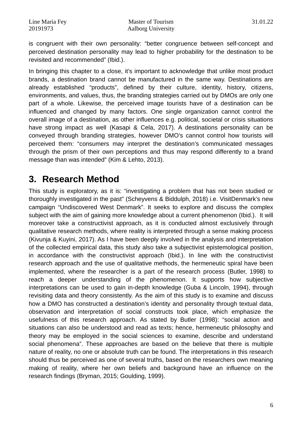is congruent with their own personality: "better congruence between self-concept and perceived destination personality may lead to higher probability for the destination to be revisited and recommended" (Ibid.).

In bringing this chapter to a close, it's important to acknowledge that unlike most product brands, a destination brand cannot be manufactured in the same way. Destinations are already established "products", defined by their culture, identity, history, citizens, environments, and values, thus, the branding strategies carried out by DMOs are only one part of a whole. Likewise, the perceived image tourists have of a destination can be influenced and changed by many factors. One single organization cannot control the overall image of a destination, as other influences e.g. political, societal or crisis situations have strong impact as well (Kasapi & Cela, 2017). A destinations personality can be conveyed through branding strategies, however DMO's cannot control how tourists will perceived them: "consumers may interpret the destination's communicated messages through the prism of their own perceptions and thus may respond differently to a brand message than was intended" (Kim & Lehto, 2013).

## **3. Research Method**

This study is exploratory, as it is: "investigating a problem that has not been studied or thoroughly investigated in the past" (Scheyvens & Biddulph, 2018) i.e. VisitDenmark's new campaign "Undiscovered West Denmark". It seeks to explore and discuss the complex subject with the aim of gaining more knowledge about a current phenomenon (Ibid.). It will moreover take a constructivist approach, as it is conducted almost exclusively through qualitative research methods, where reality is interpreted through a sense making process (Kivunja & Kuyini, 2017). As I have been deeply involved in the analysis and interpretation of the collected empirical data, this study also take a subjectivist epistemological position, in accordance with the constructivist approach (Ibid.). In line with the constructivist research approach and the use of qualitative methods, the hermeneutic spiral have been implemented, where the researcher is a part of the research process (Butler, 1998) to reach a deeper understanding of the phenomenon. It supports how subjective interpretations can be used to gain in-depth knowledge (Guba & Lincoln, 1994), through revisiting data and theory consistently. As the aim of this study is to examine and discuss how a DMO has constructed a destination's identity and personality through textual data, observation and interpretation of social constructs took place, which emphasize the usefulness of this research approach. As stated by Butler (1998): "social action and situations can also be understood and read as texts; hence, hermeneutic philosophy and theory may be employed in the social sciences to examine, describe and understand social phenomena". These approaches are based on the believe that there is multiple nature of reality, no one or absolute truth can be found. The interpretations in this research should thus be perceived as one of several truths, based on the researchers own meaning making of reality, where her own beliefs and background have an influence on the research findings (Bryman, 2015; Goulding, 1999).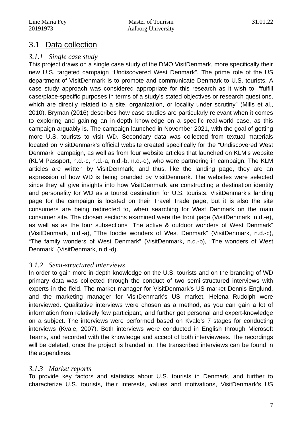### 3.1 Data collection

### *3.1.1 Single case study*

This project draws on a single case study of the DMO VisitDenmark, more specifically their new U.S. targeted campaign "Undiscovered West Denmark". The prime role of the US department of VisitDenmark is to promote and communicate Denmark to U.S. tourists. A case study approach was considered appropriate for this research as it wish to: "fulfill case/place-specific purposes in terms of a study's stated objectives or research questions, which are directly related to a site, organization, or locality under scrutiny" (Mills et al., 2010). Bryman (2016) describes how case studies are particularly relevant when it comes to exploring and gaining an in-depth knowledge on a specific real-world case, as this campaign arguably is. The campaign launched in November 2021, with the goal of getting more U.S. tourists to visit WD. Secondary data was collected from textual materials located on VisitDenmark's official website created specifically for the "Undiscovered West Denmark" campaign, as well as from four website articles that launched on KLM's website (KLM Passport, n.d.-c, n.d.-a, n.d.-b, n.d.-d), who were partnering in campaign. The KLM articles are written by VisitDenmark, and thus, like the landing page, they are an expression of how WD is being branded by VisitDenmark. The websites were selected since they all give insights into how VisitDenmark are constructing a destination identity and personality for WD as a tourist destination for U.S. tourists. VisitDenmark's landing page for the campaign is located on their Travel Trade page, but it is also the site consumers are being redirected to, when searching for West Denmark on the main consumer site. The chosen sections examined were the front page (VisitDenmark, n.d.-e), as well as as the four subsections "The active & outdoor wonders of West Denmark" (VisitDenmark, n.d.-a), "The foodie wonders of West Denmark" (VisitDenmark, n.d.-c), "The family wonders of West Denmark" (VisitDenmark, n.d.-b), "The wonders of West Denmark" (VisitDenmark, n.d.-d).

### *3.1.2 Semi-structured interviews*

In order to gain more in-depth knowledge on the U.S. tourists and on the branding of WD primary data was collected through the conduct of two semi-structured interviews with experts in the field. The market manager for VisitDenmark's US market Dennis Englund, and the marketing manager for VisitDenmark's US market, Helena Rudolph were interviewed. Qualitative interviews were chosen as a method, as you can gain a lot of information from relatively few participant, and further get personal and expert-knowledge on a subject. The interviews were performed based on Kvale's 7 stages for conducting interviews (Kvale, 2007). Both interviews were conducted in English through Microsoft Teams, and recorded with the knowledge and accept of both interviewees. The recordings will be deleted, once the project is handed in. The transcribed interviews can be found in the appendixes.

### *3.1.3 Market reports*

To provide key factors and statistics about U.S. tourists in Denmark, and further to characterize U.S. tourists, their interests, values and motivations, VisitDenmark's US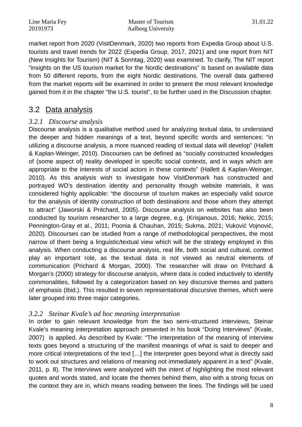Line Maria Fey Master of Tourism 31.01.22 20191973 Aalborg University

market report from 2020 (VisitDenmark, 2020) two reports from Expedia Group about U.S. tourists and travel trends for 2022 (Expedia Group, 2017, 2021) and one report from NIT (New Insights for Tourism) (NIT & Sonntag, 2020) was examined. To clarify, The NIT report "insights on the US tourism market for the Nordic destinations" is based on available data from 50 different reports, from the eight Nordic destinations. The overall data gathered from the market reports will be examined in order to present the most relevant knowledge gained from it in the chapter "the U.S. tourist", to be further used in the Discussion chapter.

### 3.2 Data analysis

### *3.2.1 Discourse analysis*

Discourse analysis is a qualitative method used for analyzing textual data, to understand the deeper and hidden meanings of a text, beyond specific words and sentences: "in utilizing a discourse analysis, a more nuanced reading of textual data will develop" (Hallett & Kaplan-Weinger, 2010). Discourses can be defined as "socially constructed knowledges of (some aspect of) reality developed in specific social contexts, and in ways which are appropriate to the interests of social actors in these contexts" (Hallett & Kaplan-Weinger, 2010). As this analysis wish to investigate how VisitDenmark has constructed and portrayed WD's destination identity and personality though website materials, it was considered highly applicable: "the discourse of tourism makes an especially valid source for the analysis of identity construction of both destinations and those whom they attempt to attract" (Jaworski & Pritchard, 2005). Discourse analysis on websites has also been conducted by tourism researcher to a large degree, e.g. (Krisjanous, 2016; Nekic, 2015; Pennington-Gray et al., 2011; Poonia & Chauhan, 2015; Sukma, 2021; Vuković Vojnović, 2020). Discourses can be studied from a range of methodological perspectives, the most narrow of them being a linguistic/textual view which will be the strategy employed in this analysis. When conducting a discourse analysis, real life, both social and cultural, context play an important role, as the textual data is not viewed as neutral elements of communication (Prichard & Morgan, 2000). The researcher will draw on Pritchard & Morgan's (2000) strategy for discourse analysis, where data is coded inductively to identify commonalities, followed by a categorization based on key discursive themes and patters of emphasis (Ibid.). This resulted in seven representational discursive themes, which were later grouped into three major categories.

### *3.2.2 Steinar Kvale's ad hoc meaning interpretation*

In order to gain relevant knowledge from the two semi-structured interviews, Steinar Kvale's meaning interpretation approach presented in his book "Doing Interviews" (Kvale, 2007) is applied. As described by Kvale: "The interpretation of the meaning of interview texts goes beyond a structuring of the manifest meanings of what is said to deeper and more critical interpretations of the text […] the interpreter goes beyond what is directly said to work out structures and relations of meaning not immediately apparent in a text" (Kvale, 2011, p. 8). The interviews were analyzed with the intent of highlighting the most relevant quotes and words stated, and locate the themes behind them, also with a strong focus on the context they are in, which means reading between the lines. The findings will be used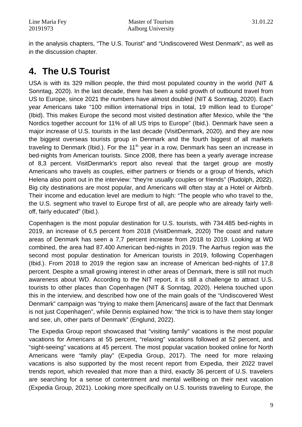in the analysis chapters, "The U.S. Tourist" and "Undiscovered West Denmark", as well as in the discussion chapter.

## **4. The U.S Tourist**

USA is with its 329 million people, the third most populated country in the world (NIT & Sonntag, 2020). In the last decade, there has been a solid growth of outbound travel from US to Europe, since 2021 the numbers have almost doubled (NIT & Sonntag, 2020). Each year Americans take "100 million international trips in total, 19 million lead to Europe" (Ibid). This makes Europe the second most visited destination after Mexico, while the "the Nordics together account for 11% of all US trips to Europe" (Ibid.). Denmark have seen a major increase of U.S. tourists in the last decade (VisitDenmark, 2020)*,* and they are now the biggest overseas tourists group in Denmark and the fourth biggest of all markets traveling to Denmark (Ibid.). For the  $11<sup>th</sup>$  year in a row, Denmark has seen an increase in bed-nights from American tourists. Since 2008, there has been a yearly average increase of 8,3 percent. VisitDenmark's report also reveal that the target group are mostly Americans who travels as couples, either partners or friends or a group of friends, which Helena also point out in the interview: "they're usually couples or friends" (Rudolph, 2022). Big city destinations are most popular, and Americans will often stay at a Hotel or Airbnb. Their income and education level are medium to high: "The people who who travel to the, the U.S. segment who travel to Europe first of all, are people who are already fairly welloff, fairly educated" (Ibid.).

Copenhagen is the most popular destination for U.S. tourists, with 734.485 bed-nights in 2019, an increase of 6,5 percent from 2018 (VisitDenmark, 2020) The coast and nature areas of Denmark has seen a 7,7 percent increase from 2018 to 2019. Looking at WD combined, the area had 87.400 American bed-nights in 2019. The Aarhus region was the second most popular destination for American tourists in 2019, following Copenhagen (Ibid.). From 2018 to 2019 the region saw an increase of American bed-nights of 17,8 percent. Despite a small growing interest in other areas of Denmark, there is still not much awareness about WD. According to the NIT report, it is still a challenge to attract U.S. tourists to other places than Copenhagen (NIT & Sonntag, 2020). Helena touched upon this in the interview, and described how one of the main goals of the "Undiscovered West Denmark" campaign was "trying to make them [Americans] aware of the fact that Denmark is not just Copenhagen", while Dennis explained how: "the trick is to have them stay longer and see, uh, other parts of Denmark" (Englund, 2022).

The Expedia Group report showcased that "visiting family" vacations is the most popular vacations for Americans at 55 percent, "relaxing" vacations followed at 52 percent, and "sight-seeing" vacations at 45 percent. The most popular vacation booked online for North Americans were "family play" (Expedia Group, 2017). The need for more relaxing vacations is also supported by the most recent report from Expedia, their 2022 travel trends report, which revealed that more than a third, exactly 36 percent of U.S. travelers are searching for a sense of contentment and mental wellbeing on their next vacation (Expedia Group, 2021). Looking more specifically on U.S. tourists traveling to Europe, the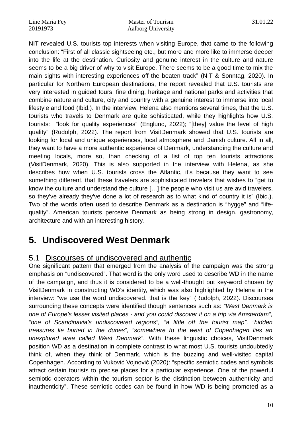NIT revealed U.S. tourists top interests when visiting Europe, that came to the following conclusion: "First of all classic sightseeing etc., but more and more like to immerse deeper into the life at the destination. Curiosity and genuine interest in the culture and nature seems to be a big driver of why to visit Europe. There seems to be a good time to mix the main sights with interesting experiences off the beaten track" (NIT & Sonntag, 2020). In particular for Northern European destinations, the report revealed that U.S. tourists are very interested in guided tours, fine dining, heritage and national parks and activities that combine nature and culture, city and country with a genuine interest to immerse into local lifestyle and food (Ibid.). In the interview, Helena also mentions several times, that the U.S. tourists who travels to Denmark are quite sohisticated, while they highlights how U.S. tourists: "look for quality experiences" (Englund, 2022); "[they] value the level of high quality" (Rudolph, 2022). The report from VisitDenmark showed that U.S. tourists are looking for local and unique experiences, local atmosphere and Danish culture. All in all, they want to have a more authentic experience of Denmark, understanding the culture and meeting locals, more so, than checking of a list of top ten tourists attractions (VisitDenmark, 2020). This is also supported in the interview with Helena, as she describes how when U.S. tourists cross the Atlantic, it's because they want to see something different, that these travelers are sophisticated travelers that wishes to "get to know the culture and understand the culture […] the people who visit us are avid travelers, so they've already they've done a lot of research as to what kind of country it is" (Ibid.). Two of the words often used to describe Denmark as a destination is "hygge" and "lifequality". American tourists perceive Denmark as being strong in design, gastronomy, architecture and with an interesting history.

## **5. Undiscovered West Denmark**

### 5.1 Discourses of undiscovered and authentic

One significant pattern that emerged from the analysis of the campaign was the strong emphasis on "undiscovered". That word is the only word used to describe WD in the name of the campaign, and thus it is considered to be a well-thought out key-word chosen by VisitDenmark in constructing WD's identity, which was also highlighted by Helena in the interview: "we use the word undiscovered. that is the key" (Rudolph, 2022). Discourses surrounding these concepts were identified though sentences such as: *"West Denmark is one of Europe's lesser visited places - and you could discover it on a trip via Amsterdam", "one of Scandinavia's undiscovered regions", "a little off the tourist map", "hidden treasures lie buried in the dunes", "somewhere to the west of Copenhagen lies an unexplored area called West Denmark"*. With these linguistic choices, VisitDenmark position WD as a destination in complete contrast to what most U.S. tourists undoubtedly think of, when they think of Denmark, which is the buzzing and well-visited capital Copenhagen. According to Vuković Vojnović (2020): "specific semiotic codes and symbols attract certain tourists to precise places for a particular experience. One of the powerful semiotic operators within the tourism sector is the distinction between authenticity and inauthenticity". These semiotic codes can be found in how WD is being promoted as a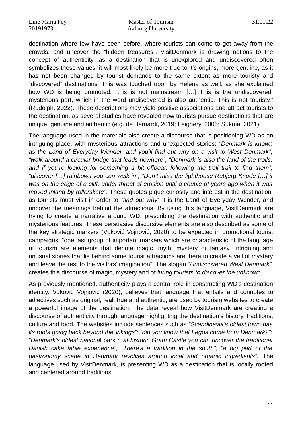destination where few have been before, where tourists can come to get away from the crowds, and uncover the "hidden treasures". VisitDenmark is drawing notions to the concept of authenticity, as a destination that is unexplored and undiscovered often symbolizes these values, it will most likely be more true to it's origins, more genuine, as it has not been changed by tourist demands to the same extent as more touristy and "discovered" destinations. This was touched upon by Helena as well, as she explained how WD is being promoted: "this is not mainstream […] This is the undiscovered, mysterious part, which in the word undiscovered is also authentic. This is not touristy." (Rudolph, 2022). These descriptions may yield positive associations and attract tourists to the destination, as several studies have revealed how tourists pursue destinations that are unique, genuine and authentic (e.g. de Bernardi, 2019; Feighery, 2006; Sukma, 2021).

The language used in the materials also create a discourse that is positioning WD as an intriguing place, with mysterious attractions and unexpected stories: *"Denmark is known as the Land of Everyday Wonder, and you'll find out why on a visit to West Denmark", "walk around a circular bridge that leads nowhere", "Denmark is also the land of the trolls, and if you're looking for something a bit offbeat, following the troll trail to find them", "discover […] rainbows you can walk in", "Don't miss the lighthouse Rubjerg Knude […] it was on the edge of a cliff, under threat of erosion until a couple of years ago when it was moved inland by rollerskate"*. These quotes pique curiosity and interest in the destination, as tourists must visit in order to *"find out why"* it is the Land of Everyday Wonder, and uncover the meanings behind the attractions. By using this language, VisitDenmark are trying to create a narrative around WD, prescribing the destination with authentic and mysterious features. These persuasive discursive elements are also described as some of the key strategic markers (Vuković Vojnović, 2020) to be expected in promotional tourist campaigns: "one last group of important markers which are characteristic of the language of tourism are elements that denote magic, myth, mystery or fantasy. Intriguing and unusual stories that lie behind some tourist attractions are there to create a veil of mystery and leave the rest to the visitors' imagination". The slogan "*Undiscovered West Denmark",* creates this discourse of magic, mystery and of *luring tourists to discover the unknown.*

As previously mentioned, authenticity plays a central role in constructing WD's destination identity. Vuković Vojnović (2020), believes that language that entails and connotes to adjectives such as original, real, true and authentic, are used by tourism websites to create a powerful image of the destination. The data reveal how VisitDenmark are creating a discourse of authenticity through language highlighting the destination's history, traditions, culture and food. The websites include sentences such as *"Scandinavia's oldest town has its roots going back beyond the Vikings"; "did you know that Legos come from Denmark?"; "Denmark's oldest nationa*l park"*; "at historic Gram Castle you can uncover the traditional Danish cake table experience"; "There's a tradition in the south"; "a big part of the gastronomy scene in Denmark revolves around local and organic ingredients".* The language used by VisitDenmark, is presenting WD as a destination that is locally rooted and centered around traditions.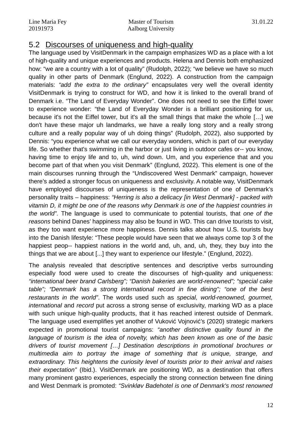### 5.2 Discourses of uniqueness and high-quality

The language used by VisitDenmark in the campaign emphasizes WD as a place with a lot of high-quality and unique experiences and products. Helena and Dennis both emphasized how: "we are a country with a lot of quality" (Rudolph, 2022); "we believe we have so much quality in other parts of Denmark (Englund, 2022). A construction from the campaign materials: *"add the extra to the ordinary"* encapsulates very well the overall identity VisitDenmark is trying to construct for WD, and how it is linked to the overall brand of Denmark i.e. "The Land of Everyday Wonder". One does not need to see the Eiffel tower to experience wonder: "the Land of Everyday Wonder is a brilliant positioning for us, because it's not the Eiffel tower, but it's all the small things that make the whole […] we don't have these major uh landmarks, we have a really long story and a really strong culture and a really popular way of uh doing things" (Rudolph, 2022), also supported by Dennis: "you experience what we call our everyday wonders, which is part of our everyday life. So whether that's swimming in the harbor or just living in outdoor cafes or-- you know, having time to enjoy life and to, uh, wind down. Um, and you experience that and you become part of that when you visit Denmark" (Englund, 2022). This element is one of the main discourses running through the "Undiscovered West Denmark" campaign, however there's added a stronger focus on uniqueness and exclusivity. A notable way, VisitDenmark have employed discourses of uniqueness is the representation of one of Denmark's personality traits – happiness: *"Herring is also a delicacy [in West Denmark] - packed with vitamin D, it might be one of the reasons why Denmark is one of the happiest countries in the world".* The language is used to communicate to potential tourists, that *one of the reasons* behind Danes' happiness may also be found in WD. This can drive tourists to visit, as they too want experience more happiness. Dennis talks about how U.S. tourists buy into the Danish lifestyle: "These people would have seen that we always come top 3 of the happiest peop-- happiest nations in the world and, uh, and, uh, they, they buy into the things that we are about [...] they want to experience our lifestyle." (Englund, 2022).

The analysis revealed that descriptive sentences and descriptive verbs surrounding especially food were used to create the discourses of high-quality and uniqueness: *"international beer brand Carlsberg"; "Danish bakeries are world-renowned"; "special cake table"; "Denmark has a strong international record in fine dining"; "one of the best restaurants in the world"*. The words used such as *special, world-renowned, gourmet, international* and *record* put across a strong sense of exclusivity, marking WD as a place with such unique high-quality products, that it has reached interest outside of Denmark. The language used exemplifies yet another of Vuković Vojnović's (2020) strategic markers expected in promotional tourist campaigns: *"another distinctive quality found in the language of tourism is the idea of novelty, which has been known as one of the basic drivers of tourist movement […] Destination descriptions in promotional brochures or multimedia aim to portray the image of something that is unique, strange, and extraordinary. This heightens the curiosity level of tourists prior to their arrival and raises their expectation"* (Ibid.). VisitDenmark are positioning WD, as a destination that offers many prominent gastro experiences, especially the strong connection between fine dining and West Denmark is promoted: *"Svinkløv Badehotel is one of Denmark's most renowned*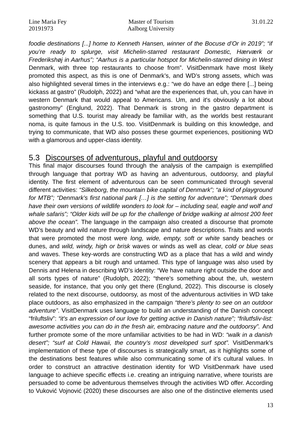*foodie destinations [...] home to Kenneth Hansen, winner of the Bocuse d'Or in 2019"; "if you're ready to splurge, visit Michelin-starred restaurant Domestic, Hærværk or Frederikshøj in Aarhus"; "Aarhus is a particular hotspot for Michelin-starred dining in West* Denmark, with three top restaurants to choose from". VisitDenmark have most likely promoted this aspect, as this is one of Denmark's, and WD's strong assets, which was also highlighted several times in the interviews e.g.: "we do have an edge there [...] being kickass at gastro" (Rudolph, 2022) and "what are the experiences that, uh, you can have in western Denmark that would appeal to Americans. Um, and it's obviously a lot about gastronomy" (Englund, 2022). That Denmark is strong in the gastro department is something that U.S. tourist may already be familiar with, as the worlds best restaurant noma, is quite famous in the U.S. too. VisitDenmark is building on this knowledge, and trying to communicate, that WD also posses these gourmet experiences, positioning WD with a glamorous and upper-class identity.

### 5.3 Discourses of adventurous, playful and outdoorsy

This final major discourses found through the analysis of the campaign is exemplified through language that portray WD as having an adventurous, outdoorsy, and playful identity. The first element of adventurous can be seen communicated through several different activities: *"Silkeborg, the mountain bike capital of Denmark"; "a kind of playground for MTB"; "Denmark's first national park […] is the setting for adventure"; "Denmark does have their own versions of wildlife wonders to look for – including seal, eagle and wolf and whale safaris"; "Older kids will be up for the challenge of bridge walking at almost 200 feet above the ocean".* The language in the campaign also created a discourse that promote WD's beauty and wild nature through landscape and nature descriptions. Traits and words that were promoted the most were *long, wide, empty, soft or white* sandy beaches or dunes, and *wild, windy, high or brisk* waves or winds as well as clear, *cold or blue seas* and waves. These key-words are constructing WD as a place that has a wild and windy scenery that appears a bit rough and untamed. This type of language was also used by Dennis and Helena in describing WD's identity: "We have nature right outside the door and all sorts types of nature" (Rudolph, 2022); "there's something about the, uh, western seaside, for instance, that you only get there (Englund, 2022). This discourse is closely related to the next discourse, outdoorsy, as most of the adventurous activities in WD take place outdoors, as also emphasized in the campaign *"there's plenty to see on an outdoor adventure"*. VisitDenmark uses language to build an understanding of the Danish concept "friluftsliv": *"it's an expression of our love for getting active in Danish nature"; "frilutfsliv-list: awesome activities you can do in the fresh air, embracing nature and the outdoorsy".* And further promote some of the more unfamiliar activities to be had in WD: *"walk in a danish desert"; "surf at Cold Hawaii, the country's most developed surf spot".* VisitDenmark's implementation of these type of discourses is strategically smart, as it highlights some of the destinations best features while also communicating some of it's cultural values. In order to construct an attractive destination identity for WD VisitDenmark have used language to achieve specific effects i.e. creating an intriguing narrative, where tourists are persuaded to come be adventurous themselves through the activities WD offer. According to Vuković Vojnović (2020) these discourses are also one of the distinctive elements used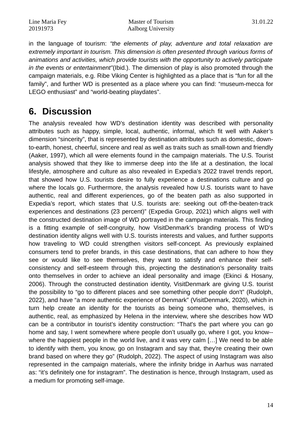in the language of tourism: *"the elements of play, adventure and total relaxation are extremely important in tourism. This dimension is often presented through various forms of animations and activities, which provide tourists with the opportunity to actively participate in the events or entertainment"*(Ibid.). The dimension of play is also promoted through the campaign materials, e.g. Ribe Viking Center is highlighted as a place that is "fun for all the family", and further WD is presented as a place where you can find: "museum-mecca for LEGO enthusiast" and "world-beating playdates".

## **6. Discussion**

The analysis revealed how WD's destination identity was described with personality attributes such as happy, simple, local, authentic, informal, which fit well with Aaker's dimension "sincerity", that is represented by destination attributes such as domestic, downto-earth, honest, cheerful, sincere and real as well as traits such as small-town and friendly (Aaker, 1997), which all were elements found in the campaign materials. The U.S. Tourist analysis showed that they like to immerse deep into the life at a destination, the local lifestyle, atmosphere and culture as also revealed in Expedia's 2022 travel trends report, that showed how U.S. tourists desire to fully experience a destinations culture and go where the locals go. Furthermore, the analysis revealed how U.S. tourists want to have authentic, real and different experiences, go of the beaten path as also supported in Expedia's report, which states that U.S. tourists are: seeking out off-the-beaten-track experiences and destinations (23 percent)" (Expedia Group, 2021) which aligns well with the constructed destination image of WD portrayed in the campaign materials. This finding is a fitting example of self-congruity, how VisitDenmark's branding process of WD's destination identity aligns well with U.S. tourists interests and values, and further supports how traveling to WD could strengthen visitors self-concept. As previously explained consumers tend to prefer brands, in this case destinations, that can adhere to how they see or would like to see themselves, they want to satisfy and enhance their selfconsistency and self-esteem through this, projecting the destination's personality traits onto themselves in order to achieve an ideal personality and image (Ekinci & Hosany, 2006). Through the constructed destination identity, VisitDenmark are giving U.S. tourist the possibility to "go to different places and see something other people don't" (Rudolph, 2022), and have "a more authentic experience of Denmark" (VisitDenmark, 2020), which in turn help create an identity for the tourists as being someone who, themselves, is authentic, real, as emphasized by Helena in the interview, where she describes how WD can be a contributor in tourist's identity construction: "That's the part where you can go home and say, I went somewhere where people don't usually go, where I got, you know- where the happiest people in the world live, and it was very calm […] We need to be able to identify with them, you know, go on Instagram and say that, they're creating their own brand based on where they go" (Rudolph, 2022). The aspect of using Instagram was also represented in the campaign materials, where the infinity bridge in Aarhus was narrated as: "it's definitely one for instagram". The destination is hence, through Instagram, used as a medium for promoting self-image.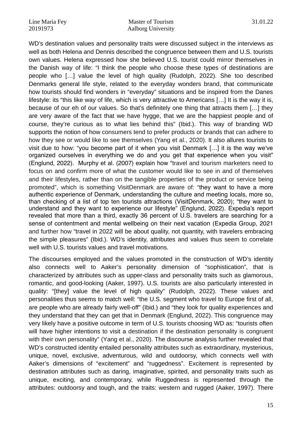WD's destination values and personality traits were discussed subject in the interviews as well as both Helena and Dennis described the congruence between them and U.S. tourists own values. Helena expressed how she believed U.S. tourist could mirror themselves in the Danish way of life: "I think the people who choose these types of destinations are people who […] value the level of high quality (Rudolph, 2022). She too described Denmarks general life style, related to the everyday wonders brand, that communicate how tourists should find wonders in "everyday" situations and be inspired from the Danes lifestyle: its "this like way of life, which is very attractive to Americans […] It is the way it is, because of our eh of our values. So that's definitely one thing that attracts them […] they are very aware of the fact that we have hygge, that we are the happiest people and of course, they're curious as to what lies behind this" (Ibid.). This way of branding WD supports the notion of how consumers tend to prefer products or brands that can adhere to how they see or would like to see themselves (Yang et al., 2020). It also allures tourists to visit due to how: "you become part of it when you visit Denmark […] it is the way we've organized ourselves in everything we do and you get that experience when you visit" (Englund, 2022). Murphy et al. (2007) explain how "travel and tourism marketers need to focus on and confirm more of what the customer would like to see in and of themselves and their lifestyles, rather than on the tangible properties of the product or service being promoted", which is something VisitDenmark are aware of: "they want to have a more authentic experience of Denmark, understanding the culture and meeting locals, more so, than checking of a list of top ten tourists attractions (VisitDenmark, 2020); "they want to understand and they want to experience our lifestyle" (Englund, 2022). Expedia's report revealed that more than a third, exactly 36 percent of U.S. travelers are searching for a sense of contentment and mental wellbeing on their next vacation (Expedia Group, 2021 and further how "travel in 2022 will be about quality, not quantity, with travelers embracing the simple pleasures" (Ibid.). WD's identity, attributes and values thus seem to correlate well with U.S. tourists values and travel motivations.

The discourses employed and the values promoted in the construction of WD's identity also connects well to Aaker's personality dimension of "sophistication", that is characterized by attributes such as upper-class and personality traits such as glamorous, romantic, and good-looking (Aaker, 1997). U.S. tourists are also particularly interested in quality: "[they] value the level of high quality" (Rudolph, 2022). These values and personalities thus seems to match well: "the U.S. segment who travel to Europe first of all, are people who are already fairly well-off" (Ibid.) and "they look for quality experiences and they understand that they can get that in Denmark (Englund, 2022). This congruence may very likely have a positive outcome in term of U.S. tourists choosing WD as: "tourists often will have higher intentions to visit a destination if the destination personality is congruent with their own personality" (Yang et al., 2020). The discourse analysis further revealed that WD's constructed identity entailed personality attributes such as extraordinary, mysterious, unique, novel, exclusive, adventurous, wild and outdoorsy, which connects well with Aaker's dimensions of "excitement" and "ruggedness". Excitement is represented by destination attributes such as daring, imaginative, spirited, and personality traits such as unique, exciting, and contemporary, while Ruggedness is represented through the attributes: outdoorsy and tough, and the traits: western and rugged (Aaker, 1997). There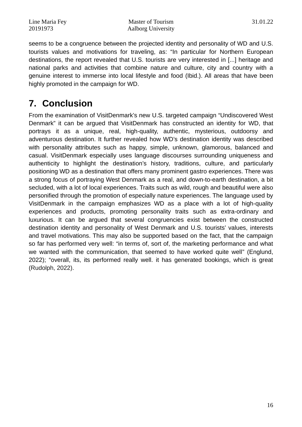seems to be a congruence between the projected identity and personality of WD and U.S. tourists values and motivations for traveling, as: "In particular for Northern European destinations, the report revealed that U.S. tourists are very interested in [...] heritage and national parks and activities that combine nature and culture, city and country with a genuine interest to immerse into local lifestyle and food (Ibid.). All areas that have been highly promoted in the campaign for WD.

## **7. Conclusion**

From the examination of VisitDenmark's new U.S. targeted campaign "Undiscovered West Denmark" it can be argued that VisitDenmark has constructed an identity for WD, that portrays it as a unique, real, high-quality, authentic, mysterious, outdoorsy and adventurous destination. It further revealed how WD's destination identity was described with personality attributes such as happy, simple, unknown, glamorous, balanced and casual. VisitDenmark especially uses language discourses surrounding uniqueness and authenticity to highlight the destination's history, traditions, culture, and particularly positioning WD as a destination that offers many prominent gastro experiences. There was a strong focus of portraying West Denmark as a real, and down-to-earth destination, a bit secluded, with a lot of local experiences. Traits such as wild, rough and beautiful were also personified through the promotion of especially nature experiences. The language used by VisitDenmark in the campaign emphasizes WD as a place with a lot of high-quality experiences and products, promoting personality traits such as extra-ordinary and luxurious. It can be argued that several congruencies exist between the constructed destination identity and personality of West Denmark and U.S. tourists' values, interests and travel motivations. This may also be supported based on the fact, that the campaign so far has performed very well: "in terms of, sort of, the marketing performance and what we wanted with the communication, that seemed to have worked quite well" (Englund, 2022); "overall, its, its performed really well. it has generated bookings, which is great (Rudolph, 2022).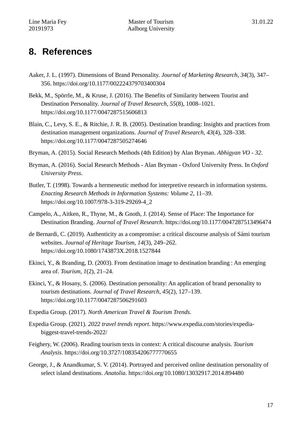## **8. References**

- Aaker, J. L. (1997). Dimensions of Brand Personality. *Journal of Marketing Research*, *34*(3), 347– 356. https://doi.org/10.1177/002224379703400304
- Bekk, M., Spörrle, M., & Kruse, J. (2016). The Benefits of Similarity between Tourist and Destination Personality. *Journal of Travel Research*, *55*(8), 1008–1021. https://doi.org/10.1177/0047287515606813
- Blain, C., Levy, S. E., & Ritchie, J. R. B. (2005). Destination branding: Insights and practices from destination management organizations. *Journal of Travel Research*, *43*(4), 328–338. https://doi.org/10.1177/0047287505274646
- Bryman, A. (2015). Social Research Methods (4th Edition) by Alan Bryman. *Abhigyan VO 32*.
- Bryman, A. (2016). Social Research Methods Alan Bryman Oxford University Press. In *Oxford University Press*.
- Butler, T. (1998). Towards a hermeneutic method for interpretive research in information systems. *Enacting Research Methods in Information Systems: Volume 2*, 11–39. https://doi.org/10.1007/978-3-319-29269-4\_2
- Campelo, A., Aitken, R., Thyne, M., & Gnoth, J. (2014). Sense of Place: The Importance for Destination Branding. *Journal of Travel Research*. https://doi.org/10.1177/0047287513496474
- de Bernardi, C. (2019). Authenticity as a compromise: a critical discourse analysis of Sámi tourism websites. *Journal of Heritage Tourism*, *14*(3), 249–262. https://doi.org/10.1080/1743873X.2018.1527844
- Ekinci, Y., & Branding, D. (2003). From destination image to destination branding : An emerging area of. *Tourism*, *1*(2), 21–24.
- Ekinci, Y., & Hosany, S. (2006). Destination personality: An application of brand personality to tourism destinations. *Journal of Travel Research*, *45*(2), 127–139. https://doi.org/10.1177/0047287506291603
- Expedia Group. (2017). *North American Travel & Tourism Trends*.
- Expedia Group. (2021). *2022 travel trends report*. https://www.expedia.com/stories/expediabiggest-travel-trends-2022/
- Feighery, W. (2006). Reading tourism texts in context: A critical discourse analysis. *Tourism Analysis*. https://doi.org/10.3727/108354206777770655
- George, J., & Anandkumar, S. V. (2014). Portrayed and perceived online destination personality of select island destinations. *Anatolia*. https://doi.org/10.1080/13032917.2014.894480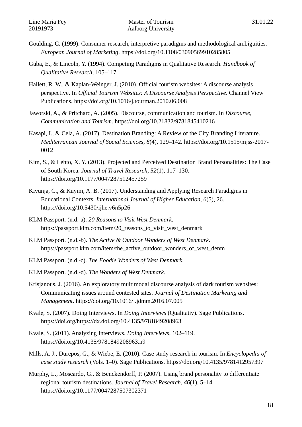- Goulding, C. (1999). Consumer research, interpretive paradigms and methodological ambiguities. *European Journal of Marketing*. https://doi.org/10.1108/03090569910285805
- Guba, E., & Lincoln, Y. (1994). Competing Paradigms in Qualitative Research. *Handbook of Qualitative Research*, 105–117.
- Hallett, R. W., & Kaplan-Weinger, J. (2010). Official tourism websites: A discourse analysis perspective. In *Official Tourism Websites: A Discourse Analysis Perspective*. Channel View Publications. https://doi.org/10.1016/j.tourman.2010.06.008
- Jaworski, A., & Pritchard, A. (2005). Discourse, communication and tourism. In *Discourse, Communication and Tourism*. https://doi.org/10.21832/9781845410216
- Kasapi, I., & Cela, A. (2017). Destination Branding: A Review of the City Branding Literature. *Mediterranean Journal of Social Sciences*, *8*(4), 129–142. https://doi.org/10.1515/mjss-2017- 0012
- Kim, S., & Lehto, X. Y. (2013). Projected and Perceived Destination Brand Personalities: The Case of South Korea. *Journal of Travel Research*, *52*(1), 117–130. https://doi.org/10.1177/0047287512457259
- Kivunja, C., & Kuyini, A. B. (2017). Understanding and Applying Research Paradigms in Educational Contexts. *International Journal of Higher Education*, *6*(5), 26. https://doi.org/10.5430/ijhe.v6n5p26
- KLM Passport. (n.d.-a). *20 Reasons to Visit West Denmark*. https://passport.klm.com/item/20\_reasons\_to\_visit\_west\_denmark
- KLM Passport. (n.d.-b). *The Active & Outdoor Wonders of West Denmark*. https://passport.klm.com/item/the\_active\_outdoor\_wonders\_of\_west\_denm
- KLM Passport. (n.d.-c). *The Foodie Wonders of West Denmark*.
- KLM Passport. (n.d.-d). *The Wonders of West Denmark*.
- Krisjanous, J. (2016). An exploratory multimodal discourse analysis of dark tourism websites: Communicating issues around contested sites. *Journal of Destination Marketing and Management*. https://doi.org/10.1016/j.jdmm.2016.07.005
- Kvale, S. (2007). Doing Interviews. In *Doing Interviews* (Qualitativ). Sage Publications. https://doi.org/https://dx.doi.org/10.4135/9781849208963
- Kvale, S. (2011). Analyzing Interviews. *Doing Interviews*, 102–119. https://doi.org/10.4135/9781849208963.n9
- Mills, A. J., Durepos, G., & Wiebe, E. (2010). Case study research in tourism. In *Encyclopedia of case study research* (Vols. 1–0). Sage Publications. https://doi.org/10.4135/9781412957397
- Murphy, L., Moscardo, G., & Benckendorff, P. (2007). Using brand personality to differentiate regional tourism destinations. *Journal of Travel Research*, *46*(1), 5–14. https://doi.org/10.1177/0047287507302371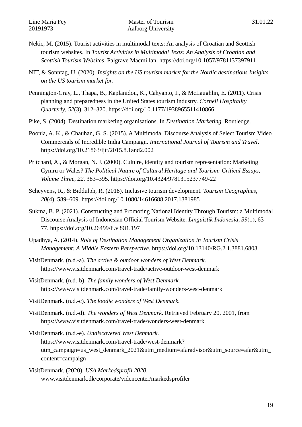- Nekic, M. (2015). Tourist activities in multimodal texts: An analysis of Croatian and Scottish tourism websites. In *Tourist Activities in Multimodal Texts: An Analysis of Croatian and Scottish Tourism Websites*. Palgrave Macmillan. https://doi.org/10.1057/9781137397911
- NIT, & Sonntag, U. (2020). *Insights on the US tourism market for the Nordic destinations Insights on the US tourism market for*.
- Pennington-Gray, L., Thapa, B., Kaplanidou, K., Cahyanto, I., & McLaughlin, E. (2011). Crisis planning and preparedness in the United States tourism industry. *Cornell Hospitality Quarterly*, *52*(3), 312–320. https://doi.org/10.1177/1938965511410866
- Pike, S. (2004). Destination marketing organisations. In *Destination Marketing*. Routledge.
- Poonia, A. K., & Chauhan, G. S. (2015). A Multimodal Discourse Analysis of Select Tourism Video Commercials of Incredible India Campaign. *International Journal of Tourism and Travel*. https://doi.org/10.21863/ijtt/2015.8.1and2.002
- Pritchard, A., & Morgan, N. J. (2000). Culture, identity and tourism representation: Marketing Cymru or Wales? *The Political Nature of Cultural Heritage and Tourism: Critical Essays, Volume Three*, *22*, 383–395. https://doi.org/10.4324/9781315237749-22
- Scheyvens, R., & Biddulph, R. (2018). Inclusive tourism development. *Tourism Geographies*, *20*(4), 589–609. https://doi.org/10.1080/14616688.2017.1381985
- Sukma, B. P. (2021). Constructing and Promoting National Identity Through Tourism: a Multimodal Discourse Analysis of Indonesian Official Tourism Website. *Linguistik Indonesia*, *39*(1), 63– 77. https://doi.org/10.26499/li.v39i1.197
- Upadhya, A. (2014). *Role of Destination Management Organization in Tourism Crisis Management: A Middle Eastern Perspective.* https://doi.org/10.13140/RG.2.1.3881.6803.
- VisitDenmark. (n.d.-a). *The active & outdoor wonders of West Denmark*. https://www.visitdenmark.com/travel-trade/active-outdoor-west-denmark
- VisitDenmark. (n.d.-b). *The family wonders of West Denmark*. https://www.visitdenmark.com/travel-trade/family-wonders-west-denmark
- VisitDenmark. (n.d.-c). *The foodie wonders of West Denmark*.
- VisitDenmark. (n.d.-d). *The wonders of West Denmark*. Retrieved February 20, 2001, from https://www.visitdenmark.com/travel-trade/wonders-west-denmark
- VisitDenmark. (n.d.-e). *Undiscovered West Denmark*. https://www.visitdenmark.com/travel-trade/west-denmark? utm\_campaign=us\_west\_denmark\_2021&utm\_medium=afaradvisor&utm\_source=afar&utm\_ content=campaign
- VisitDenmark. (2020). *USA Markedsprofil 2020*. www.visitdenmark.dk/corporate/videncenter/markedsprofiler